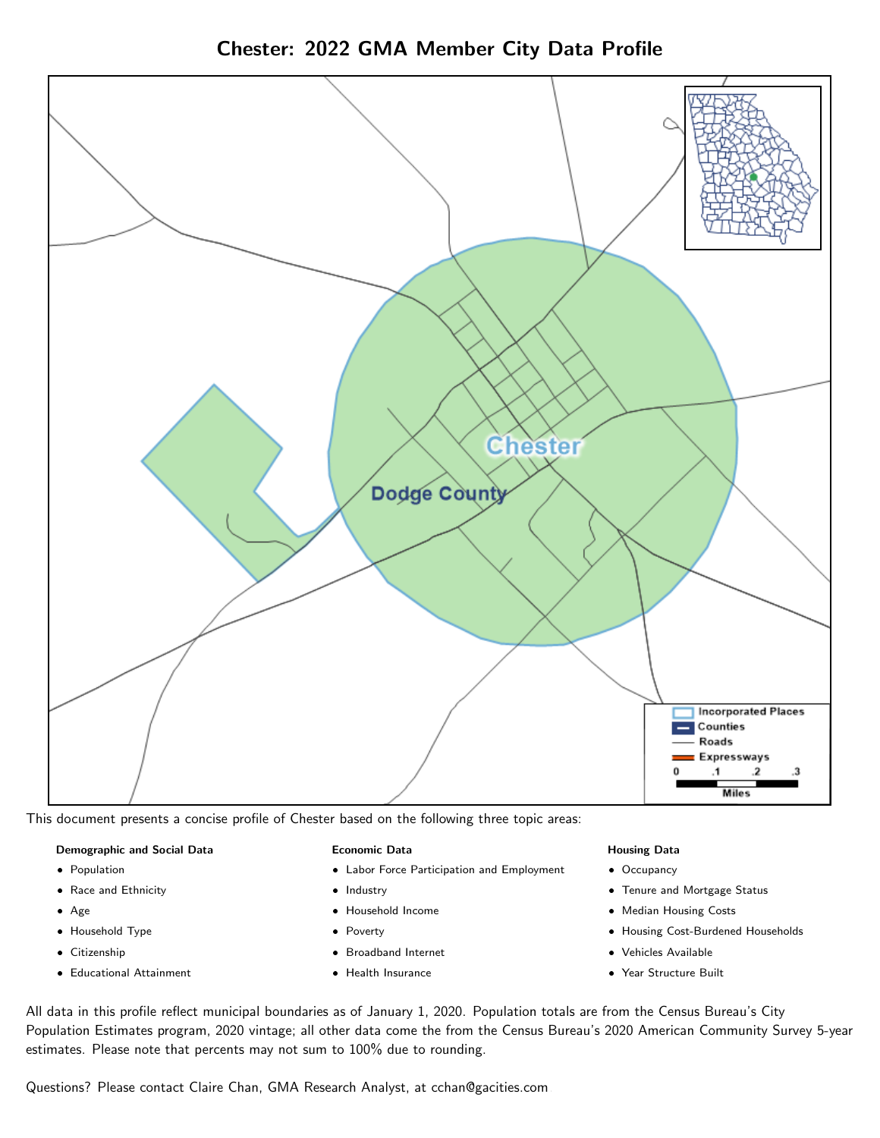

Chester: 2022 GMA Member City Data Profile

This document presents a concise profile of Chester based on the following three topic areas:

# Demographic and Social Data

- **•** Population
- Race and Ethnicity
- Age
- Household Type
- **Citizenship**
- Educational Attainment

### Economic Data

- Labor Force Participation and Employment
- Industry
- Household Income
- Poverty
- Broadband Internet
- Health Insurance

### Housing Data

- Occupancy
- Tenure and Mortgage Status
- Median Housing Costs
- Housing Cost-Burdened Households
- Vehicles Available
- Year Structure Built

All data in this profile reflect municipal boundaries as of January 1, 2020. Population totals are from the Census Bureau's City Population Estimates program, 2020 vintage; all other data come the from the Census Bureau's 2020 American Community Survey 5-year estimates. Please note that percents may not sum to 100% due to rounding.

Questions? Please contact Claire Chan, GMA Research Analyst, at [cchan@gacities.com.](mailto:cchan@gacities.com)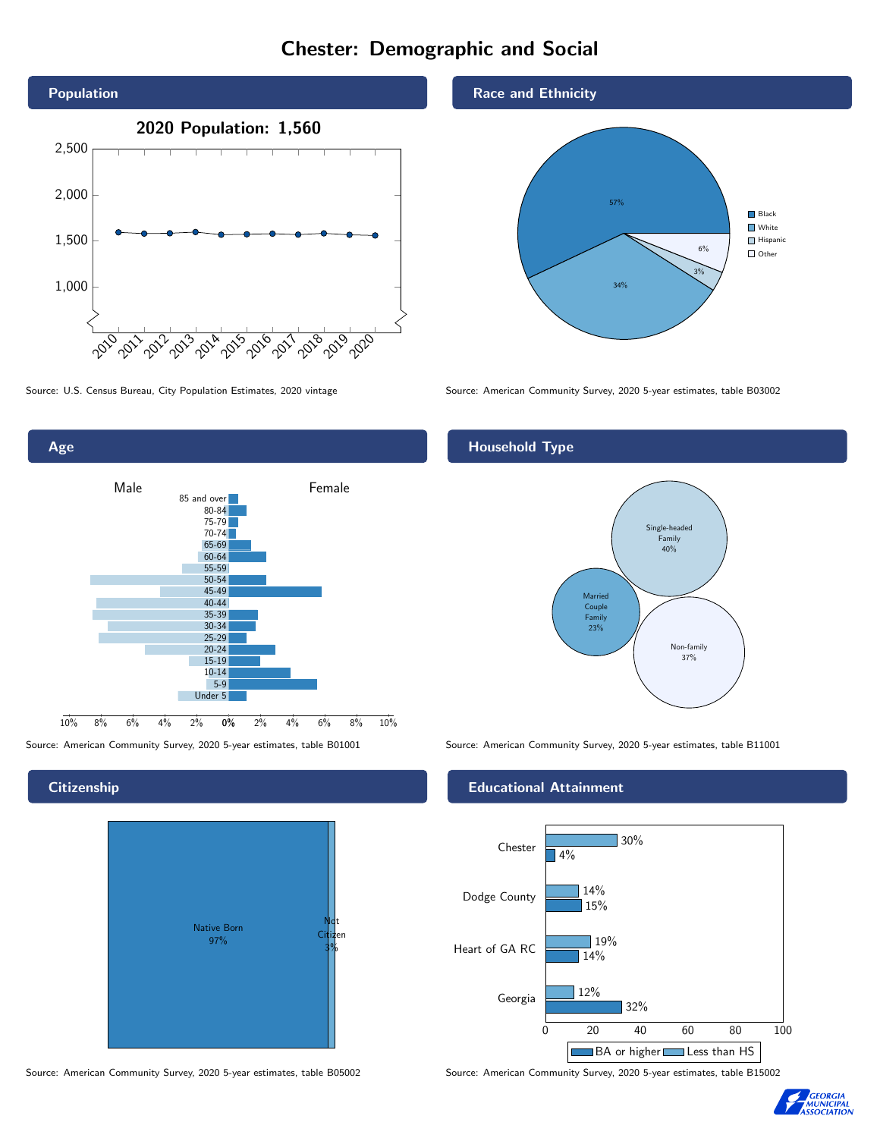# Chester: Demographic and Social





## **Citizenship**



Source: American Community Survey, 2020 5-year estimates, table B05002 Source: American Community Survey, 2020 5-year estimates, table B15002





Source: U.S. Census Bureau, City Population Estimates, 2020 vintage Source: American Community Survey, 2020 5-year estimates, table B03002

## Household Type



Source: American Community Survey, 2020 5-year estimates, table B01001 Source: American Community Survey, 2020 5-year estimates, table B11001

### Educational Attainment



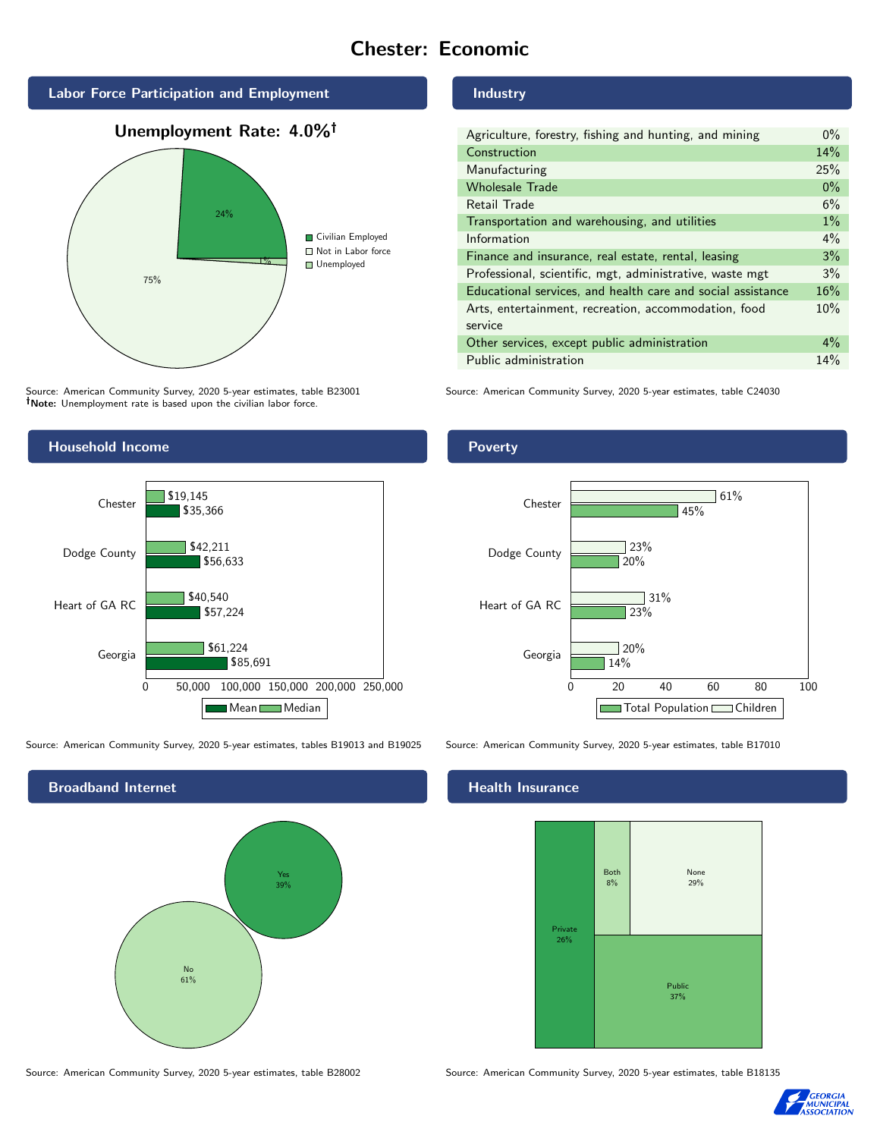# Chester: Economic







Source: American Community Survey, 2020 5-year estimates, table B23001 Note: Unemployment rate is based upon the civilian labor force.



Source: American Community Survey, 2020 5-year estimates, tables B19013 and B19025 Source: American Community Survey, 2020 5-year estimates, table B17010



Source: American Community Survey, 2020 5-year estimates, table B28002 Source: American Community Survey, 2020 5-year estimates, table B18135

Industry

| Agriculture, forestry, fishing and hunting, and mining      | $0\%$ |
|-------------------------------------------------------------|-------|
| Construction                                                | 14%   |
| Manufacturing                                               | 25%   |
| <b>Wholesale Trade</b>                                      | $0\%$ |
| Retail Trade                                                | 6%    |
| Transportation and warehousing, and utilities               | $1\%$ |
| Information                                                 | $4\%$ |
| Finance and insurance, real estate, rental, leasing         | 3%    |
| Professional, scientific, mgt, administrative, waste mgt    | 3%    |
| Educational services, and health care and social assistance | 16%   |
| Arts, entertainment, recreation, accommodation, food        | 10%   |
| service                                                     |       |
| Other services, except public administration                | $4\%$ |
| Public administration                                       | 14%   |

Source: American Community Survey, 2020 5-year estimates, table C24030



# **Health Insurance**